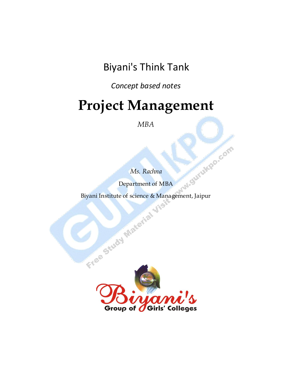Biyani's Think Tank

*Concept based notes*

# **Project Management**

*MBA*

*Ms. Rachna*

Department of MBA

Biyani Institute of science & Management, Jaipur

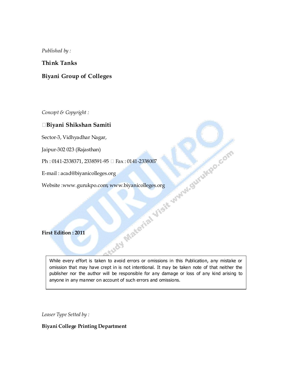*Published by :*

### **Think Tanks**

### **Biyani Group of Colleges**

*Concept & Copyright :*

### **Biyani Shikshan Samiti**

Jaipur-302 023 (Rajasthan)

Ph: 0141-2338371, 2338591-95 □ Fax: 0141-2338007

E-mail : acad@biyanicolleges.org

Website :www.gurukpo.com; www.biyanicolleges.org

**First Edition : 2011**

Sector-3, Vidhyadhar Nagar,<br>Jaipur-302 023 (Rajasthan)<br>Ph : 0141-2338371, 2338591-95  $\Box$  Fax : 0141-2338007<br>E-mail : acad@biyanicolleges.org<br>Website :www.gurukpo.com; www.biyanicolleges.org<br>First Edition : 2011 While every effort is taken to avoid errors or omissions in this Publication, any mistake or omission that may have crept in is not intentional. It may be taken note of that neither the publisher nor the author will be responsible for any damage or loss of any kind arising to anyone in any manner on account of such errors and omissions.

*Leaser Type Setted by :*

### **Biyani College Printing Department**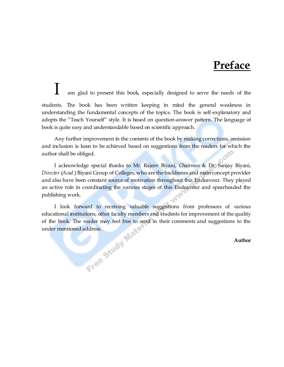# **Preface**

am glad to present this book, especially designed to serve the needs of the students. The book has been written keeping in mind the general weakness in understanding the fundamental concepts of the topics. The book is self-explanatory and adopts the "Teach Yourself" style. It is based on question-answer pattern. The language of book is quite easy and understandable based on scientific approach.

Any further improvement in the contents of the book by making corrections, omission and inclusion is keen to be achieved based on suggestions from the readers for which the author shall be obliged.

I acknowledge special thanks to Mr. Rajeev Biyani, *Chairman* & Dr. Sanjay Biyani, *Director* (*Acad.*) Biyani Group of Colleges, who are the backbones and main concept provider and also have been constant source of motivation throughout this Endeavour. They played an active role in coordinating the various stages of this Endeavour and spearheaded the publishing work.

I look forward to receiving valuable suggestions from professors of various educational institutions, other faculty members and students for improvement of the quality of the book. The reader may feel free to send in their comments and suggestions to the under mentioned address. under mentioned address.

### **Author**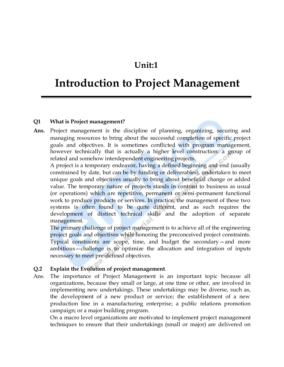# **Unit:1**

# **Introduction to Project Management**

### **Q1 What is Project management?**

**Ans**. Project management is the discipline of planning, organizing, securing and managing resources to bring about the successful completion of specific project goals and objectives. It is sometimes conflicted with program management, however technically that is actually a higher level construction: a group of related and somehow interdependent engineering projects.

A project is a temporary endeavor, having a defined beginning and end (usually constrained by date, but can be by funding or deliverables), undertaken to meet unique goals and objectives usually to bring about beneficial change or added value. The temporary nature of projects stands in contrast to business as usual (or operations) which are repetitive, permanent or semi-permanent functional work to produce products or services. In practice, the management of these two systems is often found to be quite different, and as such requires the development of distinct technical skills and the adoption of separate management.

The primary challenge of project management is to achieve all of the engineering project goals and objectives while honoring the preconceived project constraints. Typical constraints are scope, time, and budget the secondary—and more ambitious—challenge is to optimize the allocation and integration of inputs necessary to meet pre-defined objectives.

### **Q.2 Explain the Evolution of project management**.

Ans. The importance of Project Management is an important topic because all organizations, because they small or large, at one time or other, are involved in implementing new undertakings. These undertakings may be diverse, such as, the development of a new product or service; the establishment of a new production line in a manufacturing enterprise; a public relations promotion campaign; or a major building program.

On a macro level organizations are motivated to implement project management techniques to ensure that their undertakings (small or major) are delivered on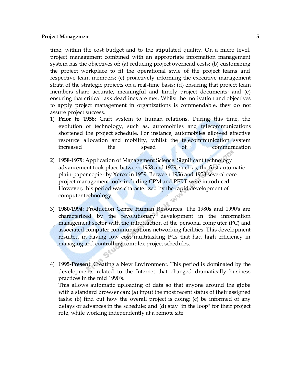time, within the cost budget and to the stipulated quality. On a micro level, project management combined with an appropriate information management system has the objectives of: (a) reducing project overhead costs; (b) customizing the project workplace to fit the operational style of the project teams and respective team members; (c) proactively informing the executive management strata of the strategic projects on a real-time basis; (d) ensuring that project team members share accurate, meaningful and timely project documents; and (e) ensuring that critical task deadlines are met. Whilst the motivation and objectives to apply project management in organizations is commendable, they do not assure project success.

- 1) **Prior to 1958**: Craft system to human relations. During this time, the evolution of technology, such as, automobiles and telecommunications shortened the project schedule. For instance, automobiles allowed effective resource allocation and mobility, whilst the telecommunication system increased the speed of communication
- 2) **1958-1979**: Application of Management Science. Significant technology advancement took place between 1958 and 1979, such as, the first automatic plain-paper copier by Xerox in 1959. Between 1956 and 1958 several core project management tools including CPM and PERT were introduced. However, this period was characterized by the rapid development of computer technology.
- 3) **1980-1994**: Production Centre Human Resources. The 1980s and 1990's are characterized by the revolutionary development in the information management sector with the introduction of the personal computer (PC) and associated computer communications networking facilities. This development resulted in having low cost multitasking PCs that had high efficiency in managing and controlling complex project schedules.
- 4) **1995-Present**: Creating a New Environment. This period is dominated by the developments related to the Internet that changed dramatically business practices in the mid 1990's.

This allows automatic uploading of data so that anyone around the globe with a standard browser can: (a) input the most recent status of their assigned tasks; (b) find out how the overall project is doing; (c) be informed of any delays or advances in the schedule; and (d) stay "in the loop" for their project role, while working independently at a remote site.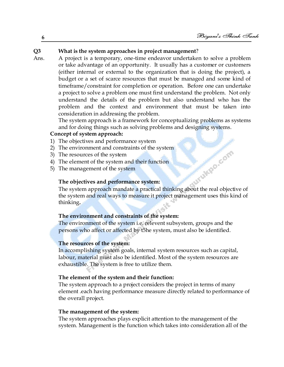### **Q3 What is the system approaches in project management**?

Ans. A project is a temporary, one-time endeavor undertaken to solve a problem or take advantage of an opportunity. It usually has a customer or customers (either internal or external to the organization that is doing the project), a budget or a set of scarce resources that must be managed and some kind of timeframe/constraint for completion or operation. Before one can undertake a project to solve a problem one must first understand the problem. Not only understand the details of the problem but also understand who has the problem and the context and environment that must be taken into consideration in addressing the problem.

The system approach is a framework for conceptualizing problems as systems and for doing things such as solving problems and designing systems.

### **Concept of system approach:**

- 1) The objectives and performance system
- 2) The environment and constraints of the system
- 3) The resources of the system
- 4) The element of the system and their function
- 5) The management of the system

### **The objectives and performance system:**

Aurukpo.com The system approach mandate a practical thinking about the real objective of the system and real ways to measure it project management uses this kind of thinking**.**

### **The environment and constraints of the system:**

The environment of the system i.e. relevent subsystem, groups and the persons who affect or affected by t5he system, must also be identified.

### **The resources of the system:**

In accomplishing system goals, internal system resources such as capital, labour, material must also be identified. Most of the system resources are exhaustible. The system is free to utilize them.

### **The element of the system and their function:**

The system approach to a project considers the project in terms of many element .each having performance measure directly related to performance of the overall project.

### **The management of the system:**

The system approaches plays explicit attention to the management of the system. Management is the function which takes into consideration all of the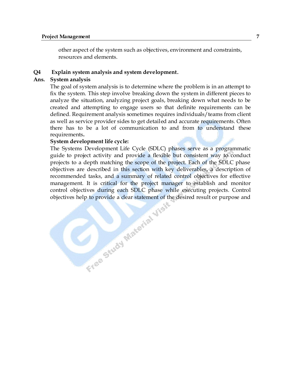other aspect of the system such as objectives, environment and constraints, resources and elements.

### **Q4 Explain system analysis and system development**.

### **Ans. System analysis**

The goal of system analysis is to determine where the problem is in an attempt to fix the system. This step involve breaking down the system in different pieces to analyze the situation, analyzing project goals, breaking down what needs to be created and attempting to engage users so that definite requirements can be defined. Requirement analysis sometimes requires individuals/teams from client as well as service provider sides to get detailed and accurate requirements. Often there has to be a lot of communication to and from to understand these requirements**.**

### **System development life cycle:**

The Systems Development Life Cycle (SDLC) phases serve as a programmatic guide to project activity and provide a flexible but consistent way to conduct projects to a depth matching the scope of the project. Each of the SDLC phase objectives are described in this section with key deliverables, a description of recommended tasks, and a summary of related control objectives for effective management. It is critical for the project manager to establish and monitor control objectives during each SDLC phase while executing projects. Control objectives help to provide a dear statement of the desired result or p control objectives during each SDLC phase while executing projects. Control objectives help to provide a clear statement of the desired result or purpose and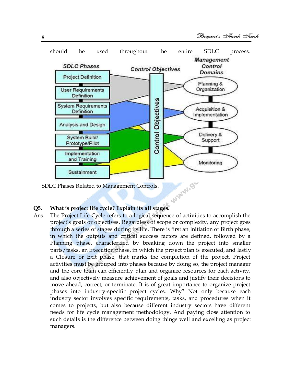

SDLC Phases Related to Management Controls.

Ans. The Project Life Cycle refers to a logical sequence of activities to accomplish the project's goals or objectives. Regardless of scope or complexity, any project goes through a series of stages during its life. There is first an Initiation or Birth phase, in which the outputs and critical success factors are defined, followed by a Planning phase, characterized by breaking down the project into smaller parts/tasks, an Execution phase, in which the project plan is executed, and lastly a Closure or Exit phase, that marks the completion of the project. Project activities must be grouped into phases because by doing so, the project manager and the core team can efficiently plan and organize resources for each activity, and also objectively measure achievement of goals and justify their decisions to move ahead, correct, or terminate. It is of great importance to organize project phases into industry-specific project cycles. Why? Not only because each industry sector involves specific requirements, tasks, and procedures when it comes to projects, but also because different industry sectors have different needs for life cycle management methodology. And paying close attention to such details is the difference between doing things well and excelling as project managers.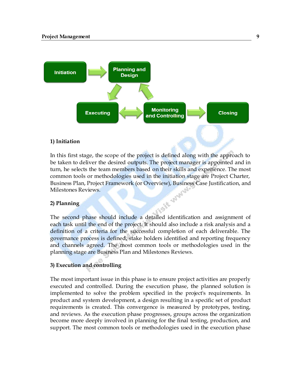

### **1) Initiation**

In this first stage, the scope of the project is defined along with the approach to be taken to deliver the desired outputs. The project manager is appointed and in turn, he selects the team members based on their skills and experience. The most common tools or methodologies used in the initiation stage are Project Charter, Business Plan, Project Framework (or Overview), Business Case Justification, and<br>Milestones Reviews.<br>2) Planning Milestones Reviews.

### **2) Planning**

The second phase should include a detailed identification and assignment of each task until the end of the project. It should also include a risk analysis and a definition of a criteria for the successful completion of each deliverable. The governance process is defined, stake holders identified and reporting frequency and channels agreed. The most common tools or methodologies used in the planning stage are Business Plan and Milestones Reviews.

### **3) Execution and controlling**

The most important issue in this phase is to ensure project activities are properly executed and controlled. During the execution phase, the planned solution is implemented to solve the problem specified in the project's requirements. In product and system development, a design resulting in a specific set of product requirements is created. This convergence is measured by prototypes, testing, and reviews. As the execution phase progresses, groups across the organization become more deeply involved in planning for the final testing, production, and support. The most common tools or methodologies used in the execution phase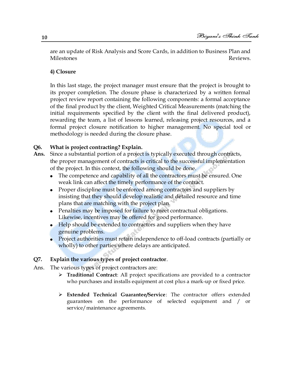are an update of Risk Analysis and Score Cards, in addition to Business Plan and Milestones Reviews.

### **4) Closure**

In this last stage, the project manager must ensure that the project is brought to its proper completion. The closure phase is characterized by a written formal project review report containing the following components: a formal acceptance of the final product by the client, Weighted Critical Measurements (matching the initial requirements specified by the client with the final delivered product), rewarding the team, a list of lessons learned, releasing project resources, and a formal project closure notification to higher management. No special tool or methodology is needed during the closure phase.

### **Q6. What is project contracting? Explain.**

- **Ans.** Since a substantial portion of a project is typically executed through contracts, the proper management of contracts is critical to the successful implementation of the project. In this context, the following should be done.
	- The competence and capability of all the contractors must be ensured. One weak link can affect the timely performance of the contract.
	- Proper discipline must be enforced among contractors and suppliers by insisting that they should develop realistic and detailed resource and time plans that are matching with the project plan.
	- Penalties may be imposed for failure to meet contractual obligations. Likewise, incentives may be offered for good performance.
	- Help should be extended to contractors and suppliers when they have genuine problems.
	- Project authorities must retain independence to off-load contracts (partially or wholly) to other parties where delays are anticipated.

### **Q7. Explain the various types of project contractor**.

- Ans. The various types of project contractors are:
	- **Traditional Contract**: All project specifications are provided to a contractor who purchases and installs equipment at cost plus a mark-up or fixed price.
	- **Extended Technical Guarantee/Service**: The contractor offers extended guarantees on the performance of selected equipment and / or service/maintenance agreements.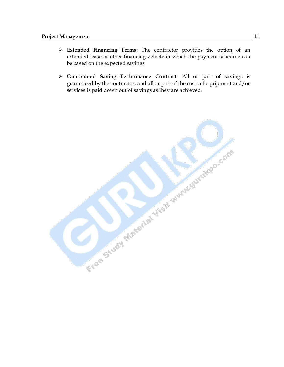- **Extended Financing Terms**: The contractor provides the option of an extended lease or other financing vehicle in which the payment schedule can be based on the expected savings
- **Guaranteed Saving Performance Contract**: All or part of savings is guaranteed by the contractor, and all or part of the costs of equipment and/or services is paid down out of savings as they are achieved.

Free Study Material Visit who were the com-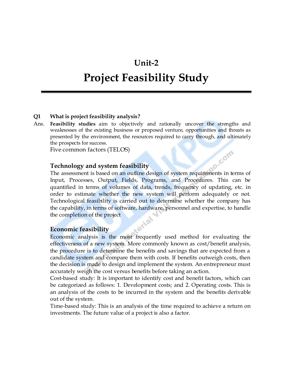# **Unit-2**

# **Project Feasibility Study**

### **Q1 What is project feasibility analysis?**

Ans. **Feasibility studies** aim to objectively and rationally uncover the strengths and weaknesses of the existing business or proposed venture, opportunities and threats as presented by the environment, the resources required to carry through, and ultimately the prospects for success.

Five common factors (TELOS)

### **Technology and system feasibility**

Technology and system feasibility<br>The assessment is based on an outline design of system requirements in terms of Input, Processes, Output, Fields, Programs, and Procedures. This can be quantified in terms of volumes of data, trends, frequency of updating, etc. in order to estimate whether the new system will perform adequately or not. Technological feasibility is carried out to determine whether the company has the capability, in terms of software, hardware, personnel and expertise, to handle the completion of the project

### **Economic feasibility**

Economic analysis is the most frequently used method for evaluating the effectiveness of a new system. More commonly known as cost/benefit analysis, the procedure is to determine the benefits and savings that are expected from a candidate system and compare them with costs. If benefits outweigh costs, then the decision is made to design and implement the system. An entrepreneur must accurately weigh the cost versus benefits before taking an action.

Cost-based study: It is important to identify cost and benefit factors, which can be categorized as follows: 1. Development costs; and 2. Operating costs. This is an analysis of the costs to be incurred in the system and the benefits derivable out of the system.

Time-based study: This is an analysis of the time required to achieve a return on investments. The future value of a project is also a factor.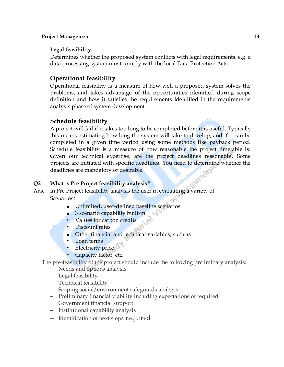### **Legal feasibility**

Determines whether the proposed system conflicts with legal requirements, e.g. a data processing system must comply with the local Data Protection Acts.

### **Operational feasibility**

Operational feasibility is a measure of how well a proposed system solves the problems, and takes advantage of the opportunities identified during scope definition and how it satisfies the requirements identified in the requirements analysis phase of system development.

### **Schedule feasibility**

A project will fail if it takes too long to be completed before it is useful. Typically this means estimating how long the system will take to develop, and if it can be completed in a given time period using some methods like payback period. Schedule feasibility is a measure of how reasonable the project timetable is. Given our technical expertise, are the project deadlines reasonable? Some projects are initiated with specific deadlines. You need to determine whether the deadlines are mandatory or desirable.

### **Q2 What is Pre Project feasibility analysis**?

Ans. In Pre Project feasibility analysis the user in evaluating a variety of Scenarios:

- Unlimited, user-defined baseline scenarios
- $\bullet$ 3 scenario capability built-in
- Values for carbon credits
- Discount rates
- Other financial and technical variables, such as
- Loan terms
- **Electricity price**
- Capacity factor, etc.

The pre-feasibility of the project should include the following preliminary analysis:

- Needs and options analysis
- Legal feasibility
- Technical feasibility
- Scoping social/environment safeguards analysis
- Preliminary financial viability including expectations of required Government financial support
- Institutional capability analysis
- Identification of next steps required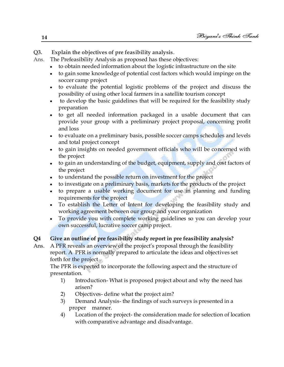**Q3. Explain the objectives of pre feasibility analysis**.

- Ans. The Prefeasibility Analysis as proposed has these objectives:
	- to obtain needed information about the logistic infrastructure on the site
	- to gain some knowledge of potential cost factors which would impinge on the soccer camp project
	- to evaluate the potential logistic problems of the project and discuss the possibility of using other local farmers in a satellite tourism concept
	- to develop the basic guidelines that will be required for the feasibility study preparation
	- to get all needed information packaged in a usable document that can provide your group with a preliminary project proposal, concerning profit and loss
	- to evaluate on a preliminary basis, possible soccer camps schedules and levels and total project concept
	- to gain insights on needed government officials who will be concerned with the project
	- to gain an understanding of the budget, equipment, supply and cost factors of the project
	- to understand the possible return on investment for the project
	- to investigate on a preliminary basis, markets for the products of the project
	- to prepare a usable working document for use in planning and funding requirements for the project
	- To establish the Letter of Intent for developing the feasibility study and working agreement between our group and your organization
	- To provide you with complete working guidelines so you can develop your own successful, lucrative soccer camp project.

### **Q4 Give an outline of pre feasibility study report in pre feasibility analysis?**

Ans. A PFR reveals an overview of the project's proposal through the feasibility report. A PFR is normally prepared to articulate the ideas and objectives set forth for the project .

The PFR is expected to incorporate the following aspect and the structure of presentation.

- 1) Introduction- What is proposed project about and why the need has arisen?
- 2) Objectives- define what the project aim?
- 3) Demand Analysis- the findings of such surveys is presented in a proper manner.
- 4) Location of the project- the consideration made for selection of location with comparative advantage and disadvantage.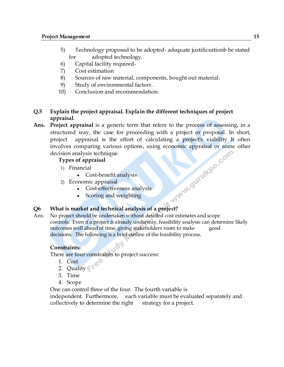- 5) Technology proposed to be adopted- adequate justificxationb be stated for adopted technology.
- 6) Capital facility required-
- 7) Cost estimation
- 8) Sources of raw material, components, bought out material.
- 9) Study of environmental factors .
- 10) Conclusion and recommendation.

### **Q.5 Explain the project appraisal. Explain the different techniques of project appraisal**.

**Ans. Project appraisal** is a generic term that refers to the process of assessing, in a structured way, the case for proceeding with a project or proposal. In short, project appraisal is the effort of calculating a project's viability It often involves comparing various options, using economic appraisal or some other<br>decision analysis technique.<br> **Types of appraisal**<br>
• Cost-benefit analysis<br>
2) Economic appraisal<br>
• Cost-effectiveness »<br>
• Scoring » decision analysis technique.

### **Types of appraisal**

- 1) Financial
	- Cost-benefit analysis
- 2) Economic appraisal
	- Cost-effectiveness analysis
	- Scoring and weighting

### **Q6 What is market and technical analysis of a project?**

Ans. No project should be undertaken without detailed cost estimates and scope controls. Even if a project is already underway, feasibility analysis can determine likely outcomes well ahead of time, giving stakeholders room to make good decisions. The following is a brief outline of the feasibility process.

### **Constraints:**

There are four constraints to project success:

- 1. Cost
- 2. Quality
- 3. Time
- 4. Scope

One can control three of the four. The fourth variable is

independent. Furthermore, each variable must be evaluated separately and collectively to determine the right strategy for a project.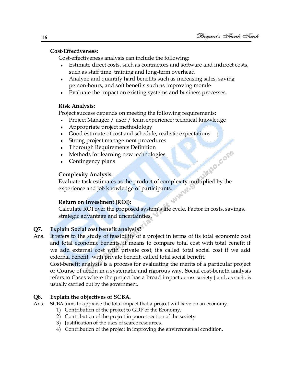### **Cost-Effectiveness:**

Cost-effectiveness analysis can include the following:

- Estimate direct costs, such as contractors and software and indirect costs,  $\bullet$ such as staff time, training and long-term overhead
- Analyze and quantify hard benefits such as increasing sales, saving person-hours, and soft benefits such as improving morale
- Evaluate the impact on existing systems and business processes.

### **Risk Analysis:**

Project success depends on meeting the following requirements:

- Project Manager / user / team experience; technical knowledge  $\bullet$
- Appropriate project methodology
- Good estimate of cost and schedule; realistic expectations  $\bullet$
- Strong project management procedures
- Thorough Requirements Definition
- Methods for learning new technologies
- Contingency plans

### **Complexity Analysis:**

Evaluate task estimates as the product of complexity multiplied by the experience and job knowledge of participants.

### **Return on Investment (ROI):**

Calculate ROI over the proposed system's life cycle. Factor in costs, savings, strategic advantage and uncertainties.

### **Q7. Explain Social cost benefit analysis?**

Ans. It refers to the study of feasibility of a project in terms of its total economic cost and total economic benefits. it means to compare total cost with total benefit if we add external cost with private cost, it's called total social cost if we add external benefit with private benefit, called total social benefit.

Cost-benefit analysis is a process for evaluating the merits of a particular project or Course of action in a systematic and rigorous way. Social cost-beneth analysis refers to Cases where the project has a broad impact across society { and, as such, is usually carried out by the government.

### **Q8. Explain the objectives of SCBA.**

- Ans. SCBA aims to appraise the total impact that a project will have on an economy.
	- 1) Contribution of the project to GDP of the Economy.
	- 2) Contribution of the project in poorer section of the society
	- 3) Justification of the uses of scarce resources.
	- 4) Contribution of the project in improving the environmental condition.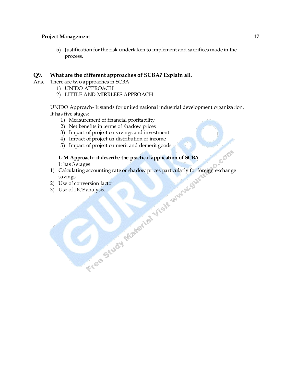5) Justification for the risk undertaken to implement and sacrifices made in the process.

### **Q9. What are the different approaches of SCBA? Explain all.**

- Ans. There are two approaches in SCBA
	- 1) UNIDO APPROACH
	- 2) LITTLE AND MIRRLEES APPROACH

UNIDO Approach- It stands for united national industrial development organization. It has five stages:

- 1) Measurement of financial profitability
- 2) Net benefits in terms of shadow prices
- 3) Impact of project on savings and investment
- 4) Impact of project on distribution of income
- 5) Impact of project on merit and demerit goods

# **L-M Approach- it describe the practical application of SCBA**

- It has 3 stages<br>Calculating accounting rate or shadow prices particularly for for<br>savings<br>Use of COCF analysis.<br> $\frac{1}{2}$ <br> $\frac{1}{2}$ <br> $\frac{1}{2}$ <br> $\frac{1}{2}$ <br> $\frac{1}{2}$ <br> $\frac{1}{2}$ <br> $\frac{1}{2}$ <br> $\frac{1}{2}$ <br> $\frac{1}{2}$ <br> $\frac{1}{2}$ <br> $\frac{1}{2}$ <br> 1) Calculating accounting rate or shadow prices particularly for foreign exchange savings
- 2) Use of conversion factor
- 3) Use of DCF analysis.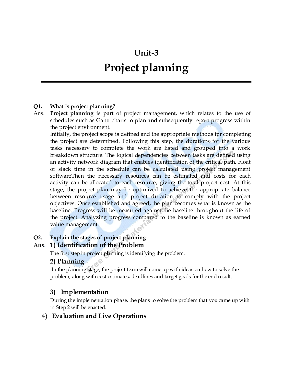# **Unit-3**

# **Project planning**

### **Q1. What is project planning?**

Ans. **Project planning** is part of project management, which relates to the use of schedules such as Gantt charts to plan and subsequently report progress within the project environment.

Initially, the project scope is defined and the appropriate methods for completing the project are determined. Following this step, the durations for the various tasks necessary to complete the work are listed and grouped into a work breakdown structure. The logical dependencies between tasks are defined using an activity network diagram that enables identification of the critical path. Float or slack time in the schedule can be calculated using project management softwareThen the necessary resources can be estimated and costs for each activity can be allocated to each resource, giving the total project cost. At this stage, the project plan may be optimized to achieve the appropriate balance between resource usage and project duration to comply with the project objectives. Once established and agreed, the plan becomes what is known as the baseline. Progress will be measured against the baseline throughout the life of the project. Analyzing progress compared to the baseline is known as earned value management.

### **Q2. Explain the stages of project planning**.

### **Ans. 1) Identification of the Problem**

The first step in project planning is identifying the problem.

### **2) Planning**

In the planning stage, the project team will come up with ideas on how to solve the problem, along with cost estimates, deadlines and target goals for the end result.

### **3) Implementation**

During the implementation phase, the plans to solve the problem that you came up with in Step 2 will be enacted.

### 4) **Evaluation and Live Operations**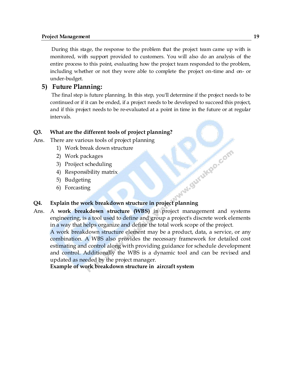### **Project Management 19**

During this stage, the response to the problem that the project team came up with is monitored, with support provided to customers. You will also do an analysis of the entire process to this point, evaluating how the project team responded to the problem, including whether or not they were able to complete the project on-time and on- or under-budget.

### **5) Future Planning:**

The final step is future planning. In this step, you'll determine if the project needs to be continued or if it can be ended, if a project needs to be developed to succeed this project, and if this project needs to be re-evaluated at a point in time in the future or at regular intervals.

### **Q3. What are the different tools of project planning?**

Ans. There are various tools of project planning

- 1) Work break down structure
- 2) Work packages
- 3) Proiject scheduling
- 4) Responsibility matrix
- 5) Budgeting
- 6) Forcasting

# **Explain the work breakdown structure in project planning**

Ans. A **work breakdown structure (WBS)** in project management and systems engineering, is a tool used to define and group a project's discrete work elements in a way that helps organize and define the total work scope of the project.

A work breakdown structure element may be a product, data, a service, or any combination. A WBS also provides the necessary framework for detailed cost estimating and control along with providing guidance for schedule development and control. Additionally the WBS is a dynamic tool and can be revised and updated as needed by the project manager.

**Example of work breakdown structure in aircraft system**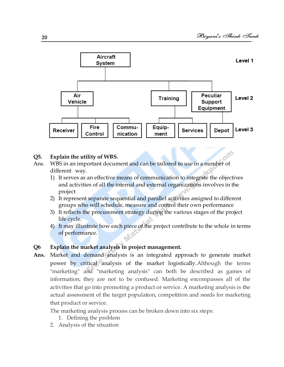

### **Q5. Explain the utility of WBS.**

- Ans. WBS in an important document and can be tailored to use in a number of different way.
	- 1) It serves as an effective means of communication to integrate the objectives and activities of all the internal and external organizations involves in the project
	- 2) It represent separate sequential and parallel activities assigned to different groups who will schedule, measure and control their own performance
	- 3) It reflects the procurement strategy during the various stages of the project life cycle.
	- 4) It may illustrate how each piece of the project contribute to the whole in terms of performance.

### **Q6 Explain the market analysis in project management.**

**Ans.** Market and demand analysis is an integrated approach to generate market power by critical analysis of the market logistically.Although the terms "marketing" and "marketing analysis" can both be described as games of information, they are not to be confused. Marketing encompasses all of the activities that go into promoting a product or service. A marketing analysis is the actual assessment of the target population, competition and needs for marketing that product or service.

The marketing analysis process can be broken down into six steps:

- 1. Defining the problem
- 2. Analysis of the situation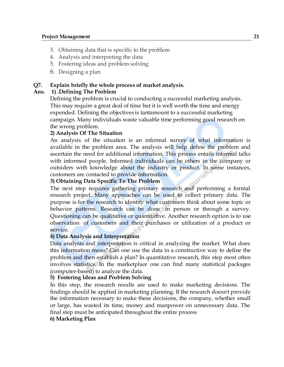- 3. Obtaining data that is specific to the problem
- 4. Analysis and interpreting the data
- 5. Fostering ideas and problem solving
- 6. Designing a plan

### **Q7. Explain briefly the whole process of market analysis.**

### **Ans. 1) .Defining The Problem**

Defining the problem is crucial to conducting a successful marketing analysis. This may require a great deal of time but it is well worth the time and energy expended. Defining the objectives is tantamount to a successful marketing campaign. Many individuals waste valuable time performing good research on the wrong problem.

### **2) Analysis Of The Situation**

An analysis of the situation is an informal survey of what information is available in the problem area. The analysis will help define the problem and ascertain the need for additional information. This process entails informal talks with informed people. Informed individuals can be others in the company or outsiders with knowledge about the industry or product. In some instances, customers are contacted to provide information.

### **3) Obtaining Data Specific To The Problem**

The next step requires gathering primary research and performing a formal research project. Many approaches can be used to collect primary data. The purpose is for the research to identify what customers think about some topic or behavior patterns. Research can be done in person or through a survey. Questioning can be qualitative or quantitative. Another research option is to use observation of customers and their purchases or utilization of a product or service.

### **4) Data Analysis and Interpretation**

Data analysis and interpretation is critical in analyzing the market. What does this information mean? Can one use the data in a constructive way to define the problem and then establish a plan? In quantitative research, this step most often involves statistics. In the marketplace one can find many statistical packages (computer-based) to analyze the data.

### **5) Fostering Ideas and Problem Solving**

In this step, the research results are used to make marketing decisions. The findings should be applied in marketing planning. If the research doesn't provide the information necessary to make these decisions, the company, whether small or large, has wasted its time, money and manpower on unnecessary data. The final step must be anticipated throughout the entire process

### **6) Marketing Plan**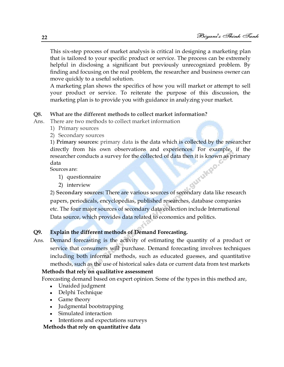This six-step process of market analysis is critical in designing a marketing plan that is tailored to your specific product or service. The process can be extremely helpful in disclosing a significant but previously unrecognized problem. By finding and focusing on the real problem, the researcher and business owner can move quickly to a useful solution.

A marketing plan shows the specifics of how you will market or attempt to sell your product or service. To reiterate the purpose of this discussion, the marketing plan is to provide you with guidance in analyzing your market.

### **Q8. What are the different methods to collect market information?**

Ans. There are two methods to collect market information

- 1) Primary sources
- 2) Secondary sources

1) **Primary sources:** primary data is the data which is collected by the researcher directly from his own observations and experiences. For example, if the researcher conducts a survey for the collected of data then it is known as primary<br>data<br>Sources are:<br>1) questionnaire<br>2) interview data

Sources are:

- 1) questionnaire
- 2) interview

2) **Secondary sources:** There are various sources of secondary data like research papers, periodicals, encyclopedias, published researches, database companies etc. The four major sources of secondary data collection include International Data source, which provides data related to economics and politics.

### **Q9. Explain the different methods of Demand Forecasting.**

Ans. Demand forecasting is the activity of estimating the quantity of a product or service that consumers will purchase. Demand forecasting involves techniques including both informal methods, such as educated guesses, and quantitative methods, such as the use of historical sales data or current data from test markets

### **Methods that rely on qualitative assessment**

Forecasting demand based on expert opinion. Some of the types in this method are,

- Unaided judgment
- Delphi Technique
- Game theory
- Judgmental bootstrapping
- Simulated interaction
- Intentions and expectations surveys

### **Methods that rely on quantitative data**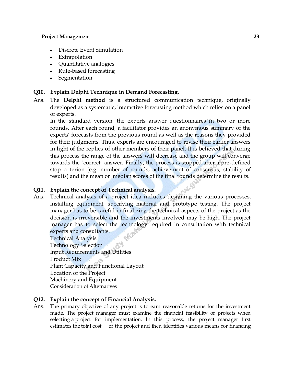- Discrete Event Simulation
- Extrapolation
- Quantitative analogies
- Rule-based forecasting
- Segmentation

### **Q10. Explain Delphi Technique in Demand Forecasting**.

Ans. The **Delphi method** is a structured communication technique, originally developed as a systematic, interactive forecasting method which relies on a panel of experts.

In the standard version, the experts answer questionnaires in two or more rounds. After each round, a facilitator provides an anonymous summary of the experts' forecasts from the previous round as well as the reasons they provided for their judgments. Thus, experts are encouraged to revise their earlier answers in light of the replies of other members of their panel. It is believed that during this process the range of the answers will decrease and the group will converge towards the "correct" answer. Finally, the process is stopped after a pre-defined stop criterion (e.g. number of rounds, achievement of consensus, stability of results) and the mean or median scores of the final rounds determine the results.

### **Q11. Explain the concept of Technical analysis.**

Ans. Technical analysis of a project idea includes designing the various proces ses, installing equipment, specifying material and prototype testing. The project manager has to be careful in finalizing the technical aspects of the project as the decision is irreversible and the investments involved may be high. The project manager has to select the technology required in consultation with technical experts and consultants.

Technical Analysis Technology Selection Input Requirements and Utilities Product Mix Plant Capacity and Functional Layout Location of the Project Machinery and Equipment Consideration of Alternatives

### **Q12. Explain the concept of Financial Analysis.**

Ans. The primary objective of any project is to earn reasonable returns for the investment made. The project manager must examine the financial feasibility of projects when selecting a project for implementation. In this process, the project manager first estimates the total cost of the project and then identifies various means for financing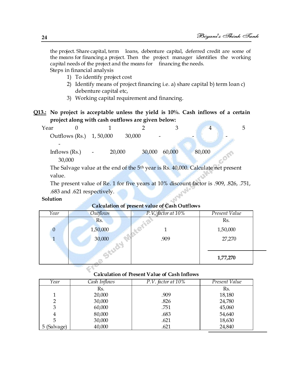the project. Share capital, term loans, debenture capital, deferred credit are some of the means for financing a project. Then the project manager identifies the working capital needs of the project and the means for financing the needs. Steps in financial analysis

- 1) To identify project cost
- 2) Identify means of project financing i.e. a) share capital b) term loan c) debenture capital etc,
- 3) Working capital requirement and financing.
- **Q13.: No project is acceptable unless the yield is 10%. Cash inflows of a certain project along with cash outflows are given below:**

| Year            |                                        |        |        |                                                                                   |  |
|-----------------|----------------------------------------|--------|--------|-----------------------------------------------------------------------------------|--|
|                 | Outflows (Rs.) 1, 50,000               | 30,000 |        |                                                                                   |  |
|                 |                                        |        |        |                                                                                   |  |
| Inflows $(Rs.)$ | 20,000<br>$\qquad \qquad \blacksquare$ | 30,000 | 60,000 | 80,000                                                                            |  |
| 30,000          |                                        |        |        |                                                                                   |  |
|                 |                                        |        |        | The Columns unlise of the and of the Ethnory is De 10,000 Columnists wet muses at |  |

The Salvage value at the end of the 5<sup>th</sup> year is Rs. 40,000. Calculate net present value.

The present value of Re. 1 for five years at 10% discount factor is .909, .826, .751, .683 and .621 respectively.

### **Solution**

### **Calculation of present value of Cash Outflows**

| Year         | Outflows | P.V. factor at 10% | Present Value |  |
|--------------|----------|--------------------|---------------|--|
|              | Rs.      |                    | Rs.           |  |
| $\mathbf{0}$ | 1,50,000 |                    | 1,50,000      |  |
|              | 30,000   | .909               | 27,270        |  |
|              |          |                    |               |  |
|              |          |                    | 1,77,270      |  |

### **Calculation of Present Value of Cash Inflows**

| Year        | Cash Inflows | $P.V.$ factor at $10\%$ | Present Value |
|-------------|--------------|-------------------------|---------------|
|             | Rs.          |                         | Rs.           |
|             | 20,000       | .909                    | 18,180        |
| 2           | 30,000       | .826                    | 24,780        |
| 3           | 60,000       | .751                    | 45,060        |
| 4           | 80,000       | .683                    | 54,640        |
|             | 30,000       | .621                    | 18,630        |
| 5 (Salvage) | 40,000       | .621                    | 24,840        |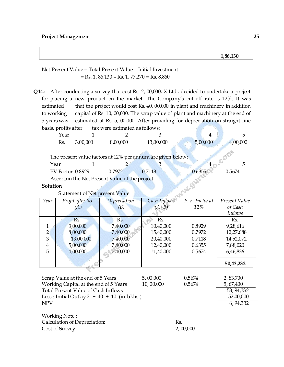### **Project Management 25**

|  |  | 1.86.130 |
|--|--|----------|
|  |  | --       |

Net Present Value = Total Present Value – Initial Investment  $=$  Rs. 1, 86,130 – Rs. 1, 77,270 = Rs. 8,860

**Q14.:** After conducting a survey that cost Rs. 2, 00,000, X Ltd., decided to undertake a project for placing a new product on the market. The Company's cut-off rate is 12%. It was estimated that the project would cost Rs. 40, 00,000 in plant and machinery in addition to working capital of Rs. 10, 00,000. The scrap value of plant and machinery at the end of 5 years was estimated at Rs. 5, 00,000. After providing for depreciation on straight line basis, profits after tax were estimated as follows:

|         | Year |                                |                                                 |                                                             | 4        |          |
|---------|------|--------------------------------|-------------------------------------------------|-------------------------------------------------------------|----------|----------|
|         | Rs.  | 3,00,000                       | 8,00,000                                        | 13,00,000                                                   | 5,00,000 | 4,00,000 |
|         |      |                                |                                                 |                                                             |          |          |
|         |      |                                |                                                 | The present value factors at 12% per annum are given below: |          |          |
| Year    |      |                                |                                                 | З                                                           |          |          |
|         |      | PV Factor 0.8929               | 0.7972                                          | 0.7118                                                      | 0.6355   | 0.5674   |
|         |      |                                | Ascertain the Net Present Value of the project. |                                                             |          |          |
| olution |      |                                |                                                 |                                                             |          |          |
|         |      | Statement of Net present Value |                                                 |                                                             |          |          |
|         |      |                                |                                                 |                                                             |          |          |

### **Solution**

Statement of Net present Value

| Year           | Profit after tax | Depreciation | Cash Inflows | P.V. Factor at | Present Value  |
|----------------|------------------|--------------|--------------|----------------|----------------|
|                | (A)              | (B)          | $(A+B)$      | 12%            | of Cash        |
|                |                  |              |              |                | <i>Inflows</i> |
|                | Rs.              | Rs.          | Rs.          |                | Rs.            |
|                | 3,00,000         | 7,40,000     | 10,40,000    | 0.8929         | 9,28,616       |
| $\overline{2}$ | 8,00,000         | 7,40,000     | 15,40,000    | 0.7972         | 12,27,688      |
| 3              | 13,00,000        | 7,40,000     | 20,40,000    | 0.7118         | 14,52,072      |
| 4              | 5,00,000         | 7,40,000     | 12,40,000    | 0.6355         | 7,88,020       |
| 5              | 4,00,000         | 7,40,000     | 11,40,000    | 0.5674         | 6,46,836       |
|                |                  |              |              |                |                |
|                |                  |              |              |                | 50,43,232      |
|                |                  |              |              |                |                |

| Scrap Value at the end of 5 Years             | 5,00,000   | 0.5674 | 2,83,700    |
|-----------------------------------------------|------------|--------|-------------|
| Working Capital at the end of 5 Years         | 10,000,000 | 0.5674 | 5, 67, 400  |
| Total Present Value of Cash Inflows           |            |        | 58, 94, 332 |
| Less: Initial Outlay $2 + 40 + 10$ (in lakhs) |            |        | 52,00,000   |
| <b>NPV</b>                                    |            |        | 6, 94, 332  |
|                                               |            |        |             |

| Working Note :               |          |
|------------------------------|----------|
| Calculation of Depreciation: | -Rs.     |
| Cost of Survey               | 2,00,000 |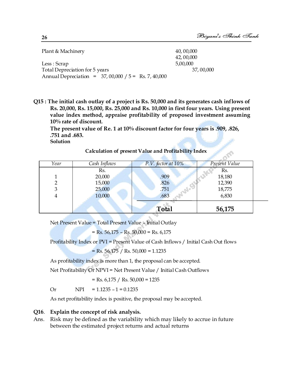| Plant & Machinery                                     | 40,000,000 |
|-------------------------------------------------------|------------|
|                                                       | 42,00,000  |
| Less : Scrap                                          | 5,00,000   |
| Total Depreciation for 5 years                        | 37,00,000  |
| Annual Depreciation = $37,00,000 / 5 =$ Rs. 7, 40,000 |            |

**Q15 : The initial cash outlay of a project is Rs. 50,000 and its generates cash inflows of Rs. 20,000, Rs. 15,000, Rs. 25,000 and Rs. 10,000 in first four years. Using present value index method, appraise profitability of proposed investment assuming 10% rate of discount.** 

**The present value of Re. 1 at 10% discount factor for four years is .909, .826, .751 and .683.**

**Solution** 

### **Calculation of present Value and Profitability Index**

| Calculation of present value and Profitability Index |              |                         |               |  |  |
|------------------------------------------------------|--------------|-------------------------|---------------|--|--|
| Year                                                 | Cash Inflows | $P.V.$ factor at $10\%$ | Present Value |  |  |
|                                                      | Rs.          |                         | Rs.           |  |  |
|                                                      | 20,000       | .909                    | 18,180        |  |  |
|                                                      | 15,000       | .826                    | 12,390        |  |  |
| 3                                                    | 25,000       | .751                    | 18,775        |  |  |
| 4                                                    | 10,000       | .683                    | 6,830         |  |  |
|                                                      |              | <b>Total</b>            | 56,175        |  |  |

Net Present Value = Total Present Value – Initial Outlay

$$
= Rs. 56,175 - Rs. 50,000 = Rs. 6,175
$$

Profitability Index or PVI = Present Value of Cash Inflows / Initial Cash Out flows

$$
= \text{Rs.} 56,175 / \text{Rs.} 50,000 = 1.1235
$$

As profitability index is more than 1, the proposal can be accepted.

Net Profitability Or NPVI = Net Present Value / Initial Cash Outflows

 $=$  Rs. 6,175 / Rs. 50,000 = 1235

Or  $NPI = 1.1235 - 1 = 0.1235$ 

As net profitability index is positive, the proposal may be accepted.

### **Q16**. **Explain the concept of risk analysis.**

Ans. Risk may be defined as the variability which may likely to accrue in future between the estimated project returns and actual returns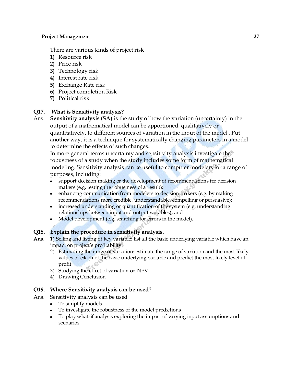There are various kinds of project risk

- **1)** Resource risk
- **2)** Price risk
- **3)** Technology risk
- **4)** Interest rate risk
- **5)** Exchange Rate risk
- **6)** Project completion Risk
- **7)** Political risk

### **Q17. What is Sensitivity analysis?**

Ans. **Sensitivity analysis (SA)** is the study of how the variation (uncertainty) in the output of a mathematical model can be apportioned, qualitatively or quantitatively, to different sources of variation in the input of the model.. Put another way, it is a technique for systematically changing parameters in a model to determine the effects of such changes.

In more general terms uncertainty and sensitivity analysis investigate the robustness of a study when the study includes some form of mathematical modeling. Sensitivity analysis can be useful to computer modelers for a range of purposes, including:

- support decision making or the development of recommendations for decision makers (e.g. testing the robustness of a result);
- enhancing communication from modelers to decision makers (e.g. by making  $\bullet$ recommendations more credible, understandable, compelling or persuasive);
- increased understanding or quantification of the system (e.g. understanding relationships between input and output variables); and
- Model development (e.g. searching for errors in the model).

### **Q18. Explain the procedure in sensitivity analysis**.

- **Ans**. 1) Selling and listing of key variable: list all the basic underlying variable which have an impact on project's profitability.
	- 2) Estimating the range of variation: estimate the range of variation and the most likely values of e4ach of the basic underlying variable and predict the most likely level of profit
	- 3) Studying the effect of variation on NPV
	- 4) Drawing Conclusion

### **Q19. Where Sensitivity analysis can be used**?

- Ans. Sensitivity analysis can be used
	- To simplify models
	- To investigate the robustness of the model predictions
	- To play what-if analysis exploring the impact of varying input assumptions and scenarios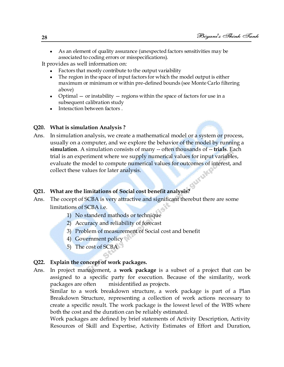As an element of quality assurance (unexpected factors sensitivities may be  $\bullet$ associated to coding errors or misspecifications).

It provides as well information on:

- Factors that mostly contribute to the output variability
- The region in the space of input factors for which the model output is either maximum or minimum or within pre-defined bounds (see Monte Carlo filtering above)
- Optimal  $-$  or instability  $-$  regions within the space of factors for use in a subsequent calibration study
- Interaction between factors.

### **Q20. What is simulation Analysis ?**

Ans. In simulation analysis, we create a mathematical model or a system or process, usually on a computer, and we explore the behavior of the model by running a **simulation**. A simulation consists of many -- often thousands of -- **trials**. Each trial is an experiment where we supply numerical values for input variables, evaluate the model to compute numerical values for outcomes of interest, and collect these values for later analysis. collect these values for later analysis.

### **Q21. What are the limitations of Social cost benefit analysis?**

- Ans. The cocept of SCBA is very attractive and significant therebut there are some limitations of SCBA i.e.
	- 1) No standerd mathods or technique
	- 2) Accuracy and reliability of forecast
	- 3) Problem of measurement of Social cost and benefit
	- 4) Government policy
	- 5) The cost of SCBA

### **Q22. Explain the concept of work packages.**

Ans. In project management, a **work package** is a subset of a project that can be assigned to a specific party for execution. Because of the similarity, work packages are often misidentified as projects.

Similar to a work breakdown structure, a work package is part of a Plan Breakdown Structure, representing a collection of work actions necessary to create a specific result. The work package is the lowest level of the WBS where both the cost and the duration can be reliably estimated.

Work packages are defined by brief statements of Activity Description, Activity Resources of Skill and Expertise, Activity Estimates of Effort and Duration,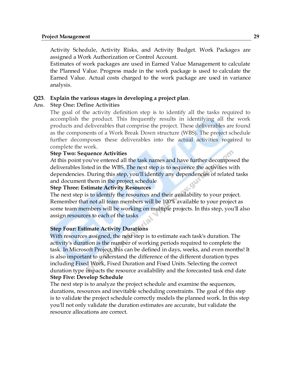### **Project Management 29**

Activity Schedule, Activity Risks, and Activity Budget. Work Packages are assigned a Work Authorization or Control Account.

Estimates of work packages are used in Earned Value Management to calculate the Planned Value. Progress made in the work package is used to calculate the Earned Value. Actual costs charged to the work package are used in variance analysis.

### **Q23**. **Explain the various stages in developing a project plan**.

### Ans. **Step One: Define Activities**

The goal of the activity definition step is to identify all the tasks required to accomplish the product. This frequently results in identifying all the work products and deliverables that comprise the project. These deliverables are found as the components of a Work Break Down structure (WBS). The project schedule further decomposes these deliverables into the actual activities required to complete the work.

### **Step Two: Sequence Activities**

At this point you've entered all the task names and have further decomposed the deliverables listed in the WBS. The next step is to sequence the activities with dependencies. During this step, you'll identify any dependencies of related tasks and document them in the project schedule

### **Step Three: Estimate Activity Resources**

The next step is to identify the resources and their availability to your project. Remember that not all team members will be 100% available to your project as some team members will be working on multiple projects. In this step, you'll also assign resources to each of the tasks

### **Step Four: Estimate Activity Durations**

With resources assigned, the next step is to estimate each task's duration. The activity's duration is the number of working periods required to complete the task. In Microsoft Project, this can be defined in days, weeks, and even months! It is also important to understand the difference of the different duration types including Fixed Work, Fixed Duration and Fixed Units. Selecting the correct duration type impacts the resource availability and the forecasted task end date **Step Five: Develop Schedule**

The next step is to analyze the project schedule and examine the sequences, durations, resources and inevitable scheduling constraints. The goal of this step is to validate the project schedule correctly models the planned work. In this step you'll not only validate the duration estimates are accurate, but validate the resource allocations are correct.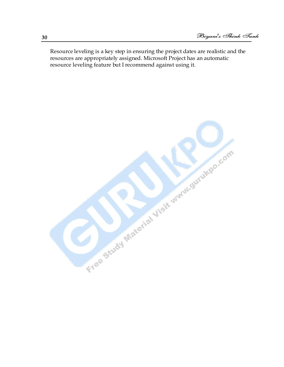Resource leveling is a key step in ensuring the project dates are realistic and the resources are appropriately assigned. Microsoft Project has an automatic resource leveling feature but I recommend against using it.

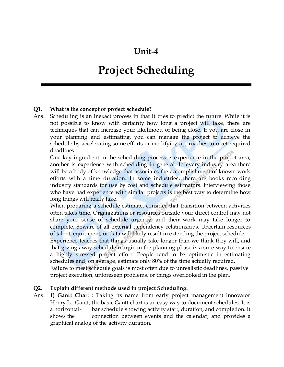# **Unit-4**

# **Project Scheduling**

### **Q1. What is the concept of project schedule?**

Ans. Scheduling is an inexact process in that it tries to predict the future. While it is not possible to know with certainty how long a project will take, there are techniques that can increase your likelihood of being close. If you are close in your planning and estimating, you can manage the project to achieve the schedule by accelerating some efforts or modifying approaches to meet required deadlines.

One key ingredient in the scheduling process is experience in the project area; another is experience with scheduling in general. In every industry area there will be a body of knowledge that associates the accomplishment of known work efforts with a time duration. In some industries, there are books recording industry standards for use by cost and schedule estimators. Interviewing those who have had experience with similar projects is the best way to determine how long things will really take.

When preparing a schedule estimate, consider that transition between activities often takes time. Organizations or resources outside your direct control may not share your sense of schedule urgency, and their work may take longer to complete. Beware of all external dependency relationships. Uncertain resources of talent, equipment, or data will likely result in extending the project schedule.

Experience teaches that things usually take longer than we think they will, and that giving away schedule margin in the planning phase is a sure way to ensure a highly stressed project effort. People tend to be optimistic in estimating schedules and, on average, estimate only 80% of the time actually required.

Failure to meet schedule goals is most often due to unrealistic deadlines, passive project execution, unforeseen problems, or things overlooked in the plan.

### **Q2. Explain different methods used in project Scheduling.**

Ans. **1) Gantt Chart** : Taking its name from early project management innovator Henry L. Gantt, the basic Gantt chart is an easy way to document schedules. It is a horizontal- bar schedule showing activity start, duration, and completion. It shows the connection between events and the calendar, and provides a graphical analog of the activity duration.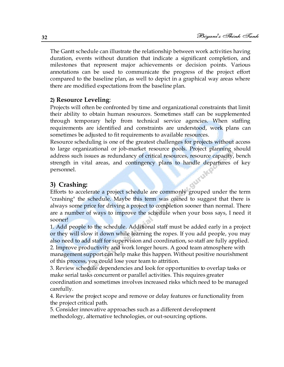The Gantt schedule can illustrate the relationship between work activities having duration, events without duration that indicate a significant completion, and milestones that represent major achievements or decision points. Various annotations can be used to communicate the progress of the project effort compared to the baseline plan, as well to depict in a graphical way areas where there are modified expectations from the baseline plan.

### **2) Resource Leveling**:

Projects will often be confronted by time and organizational constraints that limit their ability to obtain human resources. Sometimes staff can be supplemented through temporary help from technical service agencies. When staffing requirements are identified and constraints are understood, work plans can sometimes be adjusted to fit requirements to available resources.

Resource scheduling is one of the greatest challenges for projects without access to large organizational or job-market resource pools. Project planning should address such issues as redundancy of critical resources, resource capacity, bench strength in vital areas, and contingency plans to handle departures of key<br>personnel.<br>3) Crashing: personnel.

## **3) Crashing:**

Efforts to accelerate a project schedule are commonly grouped under the term "crashing" the schedule. Maybe this term was coined to suggest that there is always some price for driving a project to completion sooner than normal. There are a number of ways to improve the schedule when your boss says, I need it sooner!

1. Add people to the schedule. Additional staff must be added early in a project or they will slow it down while learning the ropes. If you add people, you may also need to add staff for supervision and coordination, so staff are fully applied. 2. Improve productivity and work longer hours. A good team atmosphere with management support can help make this happen. Without positive nourishment of this process, you could lose your team to attrition.

3. Review schedule dependencies and look for opportunities to overlap tasks or make serial tasks concurrent or parallel activities. This requires greater coordination and sometimes involves increased risks which need to be managed carefully.

4. Review the project scope and remove or delay features or functionality from the project critical path.

5. Consider innovative approaches such as a different development methodology, alternative technologies, or out-sourcing options.

**32**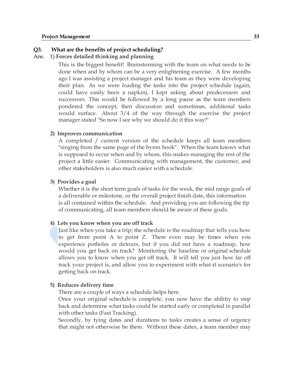### **Q3. What are the benefits of project scheduling?**

### Ans. 1) **Forces detailed thinking and planning**

This is the biggest benefit! Brainstorming with the team on what needs to be done when and by whom can be a very enlightening exercise. A few months ago I was assisting a project manager and his team as they were developing their plan. As we were loading the tasks into the project schedule (again, could have easily been a napkin), I kept asking about predecessors and successors. This would be followed by a long pause as the team members pondered the concept, then discussion and sometimes, additional tasks would surface. About 3/4 of the way through the exercise the project manager stated "So now I see why we should do it this way!"

### **2) Improves communication**

A completed / current version of the schedule keeps all team members "singing from the same page of the hymn book". When the team knows what is supposed to occur when and by whom, this makes managing the rest of the project a little easier. Communicating with management, the customer, and other stakeholders is also much easier with a schedule.

### **3) Provides a goal**

Whether it is the short term goals of tasks for the week, the mid range goals of a deliverable or milestone, or the overall project finish date, this information is all contained within the schedule. And providing you are following the tip of communicating, all team members should be aware of these goals.

### **4) Lets you know when you are off track**

Just like when you take a trip; the schedule is the roadmap that tells you how to get from point A to point Z. There even may be times when you experience potholes or detours, but if you did not have a roadmap, how would you get back on track? Monitoring the baseline or original schedule allows you to know when you get off track. It will tell you just how far off track your project is, and allow you to experiment with what-if scenario's for getting back on track.

### **5) Reduces delivery time**

There are a couple of ways a schedule helps here.

Once your original schedule is complete, you now have the abilitiy to step back and determine what tasks could be started early or completed in parallel with other tasks (Fast Tracking).

Secondly, by tying dates and durations to tasks creates a sense of urgency that might not otherwise be there. Without these dates, a team member may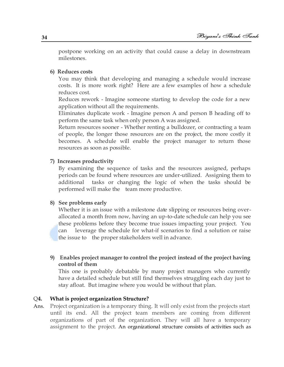postpone working on an activity that could cause a delay in downstream milestones.

### **6) Reduces costs**

You may think that developing and managing a schedule would increase costs. It is more work right? Here are a few examples of how a schedule reduces cost.

Reduces rework - Imagine someone starting to develop the code for a new application without all the requirements.

Eliminates duplicate work - Imagine person A and person B heading off to perform the same task when only person A was assigned.

Return resources sooner - Whether renting a bulldozer, or contracting a team of people, the longer those resources are on the project, the more costly it becomes. A schedule will enable the project manager to return those resources as soon as possible.

### **7) Increases productivity**

By examining the sequence of tasks and the resources assigned, perhaps periods can be found where resources are under-utilized. Assigning them to additional tasks or changing the logic of when the tasks should be performed will make the team more productive.

### **8) See problems early**

Whether it is an issue with a milestone date slipping or resources being overallocated a month from now, having an up-to-date schedule can help you see these problems before they become true issues impacting your project. You can leverage the schedule for what-if scenarios to find a solution or raise the issue to the proper stakeholders well in advance.

### **9) Enables project manager to control the project instead of the project having control of them**

This one is probably debatable by many project managers who currently have a detailed schedule but still find themselves struggling each day just to stay afloat. But imagine where you would be without that plan.

### Q**4. What is project organization Structure?**

Ans. Project organization is a temporary thing. It will only exist from the projects start until its end. All the project team members are coming from different organizations of part of the organization. They will all have a temporary assignment to the project. An organizational structure consists of activities such as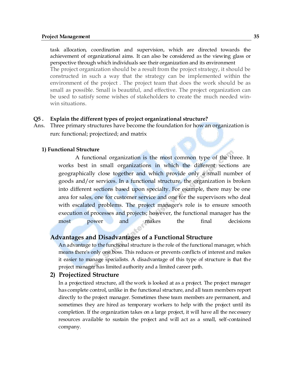### **Project Management 35**

task allocation, coordination and supervision, which are directed towards the achievement of organizational aims. It can also be considered as the viewing glass or perspective through which individuals see their organization and its environment The project organization should be a result from the project strategy, it should be constructed in such a way that the strategy can be implemented within the environment of the project . The project team that does the work should be as small as possible. Small is beautiful, and effective. The project organization can be used to satisfy some wishes of stakeholders to create the much needed winwin situations.

### **Q5 . Explain the different types of project organizational structure?**

**Ans.** Three primary structures have become the foundation for how an organization is run: functional; projectized; and matrix

### **1) Functional Structure**

 A functional organization is the most common type of the three. It works best in small organizations in which the different sections are geographically close together and which provide only a small number of goods and/or services. In a functional structure, the organization is broken into different sections based upon specialty. For example, there may be one area for sales, one for customer service and one for the supervisors who deal with escalated problems. The project manager's role is to ensure smooth execution of processes and projects; however, the functional manager has the most power and makes the final decisions

### **Advantages and Disadvantages of a Functional Structure**

An advantage to the functional structure is the role of the functional manager, which means there's only one boss. This reduces or prevents conflicts of interest and makes it easier to manage specialists. A disadvantage of this type of structure is that the project manager has limited authority and a limited career path.

### **2) Projectized Structure**

In a projectized structure, all the work is looked at as a project. The project manager has complete control, unlike in the functional structure, and all team members report directly to the project manager. Sometimes these team members are permanent, and sometimes they are hired as temporary workers to help with the project until its completion. If the organization takes on a large project, it will have all the necessary resources available to sustain the project and will act as a small, self-contained company.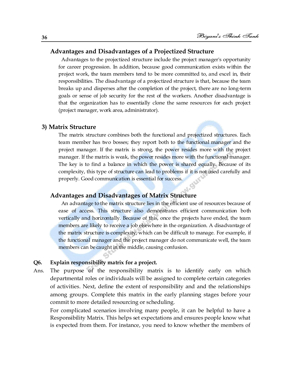### **Advantages and Disadvantages of a Projectized Structure**

 Advantages to the projectized structure include the project manager's opportunity for career progression. In addition, because good communication exists within the project work, the team members tend to be more committed to, and excel in, their responsibilities. The disadvantage of a projectized structure is that, because the team breaks up and disperses after the completion of the project, there are no long-term goals or sense of job security for the rest of the workers. Another disadvantage is that the organization has to essentially clone the same resources for each project (project manager, work area, administrator).

### **3) Matrix Structure**

The matrix structure combines both the functional and projectized structures. Each team member has two bosses; they report both to the functional manager and the project manager. If the matrix is strong, the power resides more with the project manager. If the matrix is weak, the power resides more with the functional manager. The key is to find a balance in which the power is shared equally. Because of its complexity, this type of structure can lead to problems if it is not used carefully and properly. Good communication is essential for success.

### **Advantages and Disadvantages of Matrix Structure**

 An advantage to the matrix structure lies in the efficient use of resources because of ease of access. This structure also demonstrates efficient communication both vertically and horizontally. Because of this, once the projects have ended, the team members are likely to receive a job elsewhere in the organization. A disadvantage of the matrix structure is complexity, which can be difficult to manage. For example, if the functional manager and the project manager do not communicate well, the team members can be caught in the middle, causing confusion.

### **Q6. Explain responsibility matrix for a project.**

Ans. The purpose of the responsibility matrix is to identify early on which departmental roles or individuals will be assigned to complete certain categories of activities. Next, define the extent of responsibility and and the relationships among groups. Complete this matrix in the early planning stages before your commit to more detailed resourcing or scheduling.

For complicated scenarios involving many people, it can be helpful to have a Responsibility Matrix. This helps set expectations and ensures people know what is expected from them. For instance, you need to know whether the members of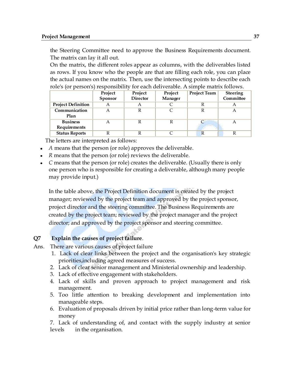the Steering Committee need to approve the Business Requirements document. The matrix can lay it all out.

On the matrix, the different roles appear as columns, with the deliverables listed as rows. If you know who the people are that are filling each role, you can place the actual names on the matrix. Then, use the intersecting points to describe each role's (or person's) responsibility for each deliverable. A simple matrix follows.

|                                 | Project<br>Sponsor | Project<br><b>Director</b> | Project<br>Manager | <b>Project Team</b> | <b>Steering</b><br>Committee |
|---------------------------------|--------------------|----------------------------|--------------------|---------------------|------------------------------|
| <b>Project Definition</b>       | A                  |                            |                    |                     |                              |
| Communication<br>Plan           | А                  |                            |                    |                     |                              |
| <b>Business</b><br>Requirements |                    |                            |                    |                     |                              |
| <b>Status Reports</b>           |                    |                            |                    | R                   |                              |

The letters are interpreted as follows:

- *A* means that the person (or role) approves the deliverable.
- *R* means that the person (or role) reviews the deliverable.
- *C* means that the person (or role) creates the deliverable. (Usually there is only one person who is responsible for creating a deliverable, although many people may provide input.)

In the table above, the Project Definition document is created by the project manager; reviewed by the project team and approved by the project sponsor, project director and the steering committee. The Business Requirements are created by the project team; reviewed by the project manager and the project director; and approved by the project sponsor and steering committee.

### **Q7 Explain the causes of project failure**.

- Ans. There are various causes of project failure
	- 1. Lack of clear links between the project and the organisation's key strategic priorities,including agreed measures of success.
	- 2. Lack of clear senior management and Ministerial ownership and leadership.
	- 3. Lack of effective engagement with stakeholders.
	- 4. Lack of skills and proven approach to project management and risk management.
	- 5. Too little attention to breaking development and implementation into manageable steps.
	- 6. Evaluation of proposals driven by initial price rather than long-term value for money

7. Lack of understanding of, and contact with the supply industry at senior levels in the organisation.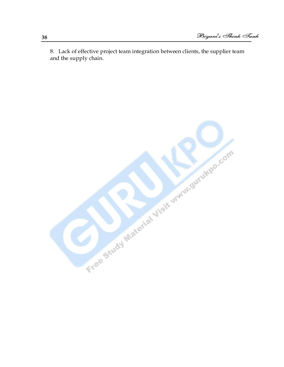8. Lack of effective project team integration between clients, the supplier team and the supply chain.

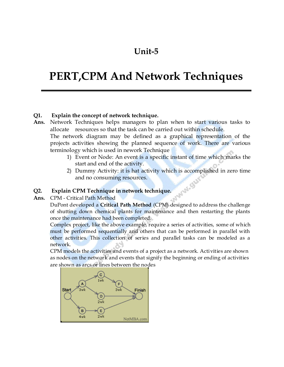# **Unit-5**

# **PERT,CPM And Network Techniques**

### **Q1. Explain the concept of network technique.**

**Ans.** Network Techniques helps managers to plan when to start various tasks to allocate resources so that the task can be carried out within schedule. The network diagram may be defined as a graphical representation of the

projects activities showing the planned sequence of work. There are various terminology which is used in nework Technique

- 1) Event or Node: An event is a specific instant of time which marks the start and end of the activity.
- 2) Dummy Activity: it is hat activity which is accomplished in zero time and no consuming resources. WAN. OU

### **Q2. Explain CPM Technique in network technique.**

**Ans.** CPM - Critical Path Method

DuPont developed a **Critical Path Method** (CPM) designed to address the challenge of shutting down chemical plants for maintenance and then restarting the plants once the maintenance had been completed.

Complex project, like the above example, require a series of activities, some of which must be performed sequentially and others that can be performed in parallel with other activities. This collection of series and parallel tasks can be modeled as a network.

CPM models the activities and events of a project as a network. Activities are shown as nodes on the network and events that signify the beginning or ending of activities are shown as arcs or lines between the nodes

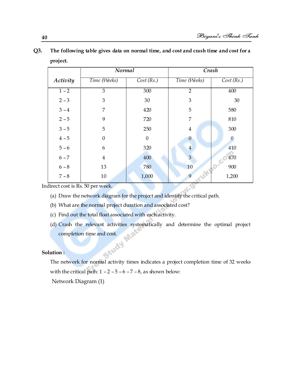|                                 | <b>Normal</b>  |              | Crash          |           |
|---------------------------------|----------------|--------------|----------------|-----------|
| Activity                        | Time (Weeks)   | Cost(Rs.)    | Time (Weeks)   | Cost(Rs.) |
| $1 - 2$                         | 3              | 300          | $\overline{2}$ | 400       |
| $2 - 3$                         | 3              | 30           | 3              | 30        |
| $3 - 4$                         | 7              | 420          | 5              | 580       |
| $2 - 5$                         | 9              | 720          | 7              | 810       |
| $3 - 5$                         | 5              | 250          | $\overline{4}$ | 300       |
| $4 - 5$                         | $\overline{0}$ | $\mathbf{0}$ | $\mathbf{0}$   | $\Omega$  |
| $5 - 6$                         | 6              | 320          | $\overline{4}$ | 410       |
| $6 - 7$                         | $\overline{4}$ | 400          | 3              | 470       |
| $6 - 8$                         | 13             | 780          | 10             | 900       |
| $7 - 8$                         | $10\,$         | 1,000        | 9              | 1,200     |
| direct cost is Rs. 50 per week. |                |              | Salder         |           |

## **Q3. The following table gives data on normal time, and cost and crash time and cost for a project.**

Indirect cost is Rs. 50 per week.

- (a) Draw the network diagram for the project and identify the critical path.
- (b) What are the normal project duration and associated cost?
- (c) Find out the total float associated with each activity.
- (d) Crash the relevant activities systematically and determine the optimal project completion time and cost.<br>
ution : completion time and cost.

### **Solution :**

The network for normal activity times indicates a project completion time of 32 weeks with the critical path:  $1 - 2 - 5 - 6 - 7 - 8$ , as shown below:

Network Diagram (1)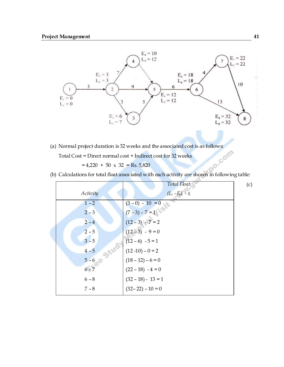

(a) Normal project duration is 32 weeks and the associated cost is as follows:<br>Total Cost = Direct normal cost + Indirect cost for 32 weeks<br>=  $4,220 + 50 \times 32 = \text{Re } 5,920$ 

Total Cost = Direct normal cost + Indirect cost for 32 weeks

 $= 4,220 + 50 \times 32 = \text{Rs.} 5,820$ 

(b) Calculations for total float associated with each activity are shown in following table:

|          | Total Float          | (c) |
|----------|----------------------|-----|
| Activity | $(L_i - E_i) - t_i$  |     |
| $1 - 2$  | $(3-0) - 10 = 0$     |     |
| $2 - 3$  | $(7-3) - 7 = 1$      |     |
| $2 - 4$  | $(12-3) - 7 = 2$     |     |
| $2 - 5$  | $(12-3) - 9 = 0$     |     |
| $3 - 5$  | $(12-6) - 5 = 1$     |     |
| $4 - 5$  | $(12-10)-0=2$        |     |
| $5 - 6$  | $(18 - 12) - 6 = 0$  |     |
| $6 - 7$  | $(22 - 18) - 4 = 0$  |     |
| $6 - 8$  | $(32 - 18) - 13 = 1$ |     |
| $7 - 8$  | $(32-22) - 10 = 0$   |     |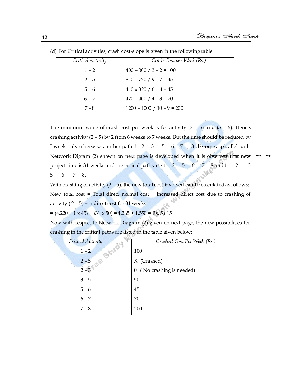| Critical Activity | Crash Cost per Week (Rs.)     |
|-------------------|-------------------------------|
| $1 - 2$           | $400 - 300 / 3 - 2 = 100$     |
| $2 - 5$           | $810 - 720 / 9 - 7 = 45$      |
| $5 - 6$           | $410 \times 320 / 6 - 4 = 45$ |
| $6 - 7$           | $470 - 400 / 4 - 3 = 70$      |
| 7 - 8             | $1200 - 1000 / 10 - 9 = 200$  |

(d) For Critical activities, crash cost-slope is given in the following table:

The minimum value of crash cost per week is for activity  $(2 - 5)$  and  $(5 - 6)$ . Hence, crashing activity (2 – 5) by 2 from 6 weeks to 7 weeks, But the time should be reduced by I week only otherwise another path  $1 - 2 - 3 - 5 - 6 - 7 - 8$  become a parallel path. Network Digram (2) shown on next page is developed when it is observed that new project time is 31 weeks and the critical paths are  $1 - 2 - 5 - 6 - 7 - 8$  and  $1 \quad 2 \quad 3$ 5 6 7 8.

With crashing of activity  $(2 - 5)$ , the new total cost involved can be calculated as follows: New total cost = Total direct normal cost + Increased direct cost due to crashing of activity  $(2 - 5)$  + indirect cost for 31 weeks

 $= (4,220 + 1 \times 45) + (31 \times 50) = 4,265 + 1,550 = \text{Rs. } 5,815$ 

Now with respect to Network Diagram (2) given on next page, the new possibilities for crashing in the critical paths are listed in the table given below:

| <b>Critical Activity</b> | Crashed Cost Per Week (Rs.)         |
|--------------------------|-------------------------------------|
| $1 - 2$                  | 100                                 |
| $2 - 5$                  | X (Crashed)                         |
| $2 - 3$                  | (No crashing is needed)<br>$\theta$ |
| $3 - 5$                  | 50                                  |
| $5 - 6$                  | 45                                  |
| $6 - 7$                  | 70                                  |
| $7 - 8$                  | 200                                 |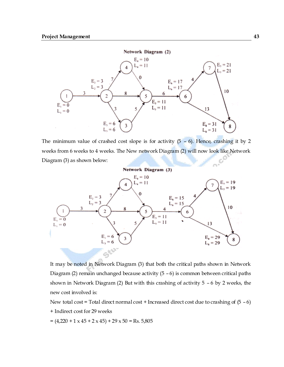

The minimum value of crashed cost slope is for activity  $(5 - 6)$ . Hence, crashing it by 2 weeks from 6 weeks to 4 weeks. The New network Diagram (2) will now look like Network Diagram (3) as shown below:



It may be noted in Network Diagram (3) that both the critical paths shown in Network Diagram (2) remain unchanged because activity  $(5 - 6)$  is common between critical paths shown in Network Diagram (2) But with this crashing of activity 5 – 6 by 2 weeks, the new cost involved is:

New total cost = Total direct normal cost + Increased direct cost due to crashing of  $(5 - 6)$ + Indirect cost for 29 weeks

 $=(4,220 + 1 \times 45 + 2 \times 45) + 29 \times 50 = \text{Rs. } 5,805$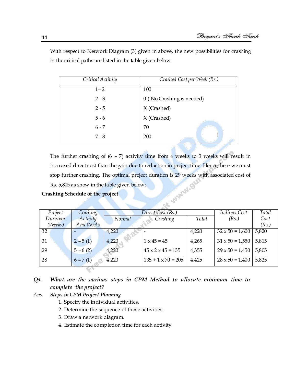| Critical Activity | Crashed Cost per Week (Rs.) |
|-------------------|-----------------------------|
| $1 - 2$           | 100                         |
| $2 - 3$           | 0 (No Crashing is needed)   |
| $2 - 5$           | X (Crashed)                 |
| $5 - 6$           | X (Crashed)                 |
| $6 - 7$           | 70                          |
| $7 - 8$           | 200                         |

With respect to Network Diagram (3) given in above, the new possibilities for crashing in the critical paths are listed in the table given below:

The further crashing of  $(6 - 7)$  activity time from 4 weeks to 3 weeks will result in increased direct cost than the gain due to reduction in project time. Hence, here we must stop further crashing. The optimal project duration is 29 weeks with associated cost of Rs. 5,805 as show in the table given below: *Direct Cost (Rs.) Indirect Cost* 

### **Crashing Schedule of the project**

| Project  | Crashing         | Direct Cost (Rs.) |                               | <b>Indirect Cost</b> | Total                  |       |  |  |  |
|----------|------------------|-------------------|-------------------------------|----------------------|------------------------|-------|--|--|--|
| Duration | Activity         | Normal            | Crashing                      | Total                | (Rs.)                  | Cost  |  |  |  |
| (Weeks)  | <b>And Weeks</b> |                   |                               |                      |                        | (Rs.) |  |  |  |
| 32       |                  | 4,220             |                               | 4,220                | $32 \times 50 = 1,600$ | 5,820 |  |  |  |
| 31       | $2 - 5(1)$       | 4,220             | $1 \times 45 = 45$            | 4,265                | $31 \times 50 = 1,550$ | 5,815 |  |  |  |
| 29       | $5 - 6(2)$       | 4,220             | $45 \times 2 \times 45 = 135$ | 4,355                | $29 \times 50 = 1,450$ | 5,805 |  |  |  |
| 28       | $6 - 7(1)$       | 4,220             | $135 + 1 \times 70 = 205$     | 4,425                | $28 \times 50 = 1,400$ | 5,825 |  |  |  |
|          |                  |                   |                               |                      |                        |       |  |  |  |

### *Q4. What are the various steps in CPM Method to allocate minimum time to complete the project?*

### *Ans. Steps in CPM Project Planning*

- 1. Specify the individual activities.
- 2. Determine the sequence of those activities.
- 3. Draw a network diagram.
- 4. Estimate the completion time for each activity.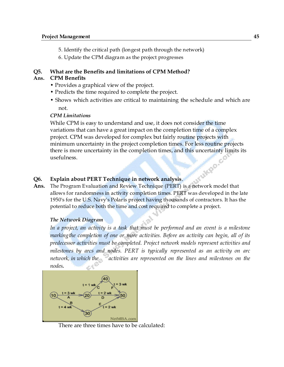- 5. Identify the critical path (longest path through the network)
- 6. Update the CPM diagram as the project progresses

### **Q5. What are the Benefits and limitations of CPM Method?**

### **Ans. CPM Benefits**

- Provides a graphical view of the project.
- Predicts the time required to complete the project.
- Shows which activities are critical to maintaining the schedule and which are not.

### *CPM Limitations*

While CPM is easy to understand and use, it does not consider the time variations that can have a great impact on the completion time of a complex project. CPM was developed for complex but fairly routine projects with minimum uncertainty in the project completion times. For less routine projects there is more uncertainty in the completion times, and this uncertainty limits its usefulness. **CONSIDERATION** 

### **Q6. Explain about PERT Technique in network analysis**.

**Ans.** The Program Evaluation and Review Technique (PERT) is a network model that allows for randomness in activity completion times. PERT was developed in the late 1950's for the U.S. Navy's Polaris project having thousands of contractors. It has the potential to reduce both the time and cost required to complete a project.

### *The Network Diagram*

In a project, an activity is a task that must be performed and an event is a milestone *markingthe completion of one or more activities. Before an activity can begin, all of its predecessor activities must be completed. Project network models represent activities and milestones by arcs and nodes. PERT is typically represented as an activity on arc network, in which the* activities are represented on the lines and milestones on the *nodes.*



There are three times have to be calculated: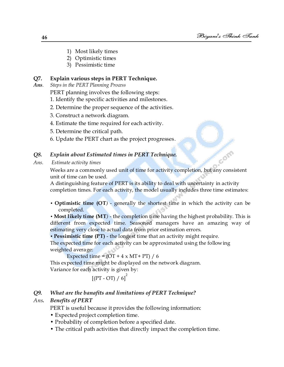- 1) Most likely times
- 2) Optimistic times
- 3) Pessimistic time

### **Q7. Explain various steps in PERT Technique.**

*Ans. Steps in the PERT Planning Process* 

PERT planning involves the following steps:

- 1. Identify the specific activities and milestones.
- 2. Determine the proper sequence of the activities.
- 3. Construct a network diagram.
- 4. Estimate the time required for each activity.
- 5. Determine the critical path.
- 6. Update the PERT chart as the project progresses.

### *Q8. Explain about Estimated times in PERT Technique.*

```
Ans. Estimate activity times
```
Weeks are a commonly used unit of time for activity completion, but any consistent unit of time can be used.

A distinguishing feature of PERT is its ability to deal with uncertainty in activity completion times. For each activity, the model usually includes three time estimates:

• **Optimistic time (OT***)* - generally the shortest time in which the activity can be completed.

**• Most likely time (MT***)* - the completion time having the highest probability. This is different from expected time. Seasoned managers have an amazing way of estimating very close to actual data from prior estimation errors.

• **Pessimistic time (PT)** - the longest time that an activity might require.

The expected time for each activity can be approximated using the following weighted average:

Expected time =  $(OT + 4 \times MT + PT) / 6$ 

This expected time might be displayed on the network diagram. Variance for each activity is given by:

$$
[(PT - OT) / 6]^2
$$

### *Q9. What are the banafits and limitations of PERT Technique?*

### *Ans. Benefits of PERT*

PERT is useful because it provides the following information:

- Expected project completion time.
- Probability of completion before a specified date.
- The critical path activities that directly impact the completion time.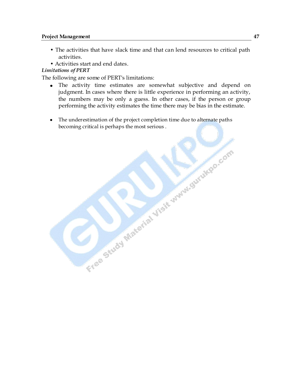- The activities that have slack time and that can lend resources to critical path activities.
- Activities start and end dates.

### *Limitations of PERT*

The following are some of PERT's limitations:

The activity time estimates are somewhat subjective and depend on judgment. In cases where there is little experience in performing an activity, the numbers may be only a guess. In other cases, if the person or group performing the activity estimates the time there may be bias in the estimate.

Free Study Material Visit www.surukdo.com

The underestimation of the project completion time due to alternate paths becoming critical is perhaps the most serious .